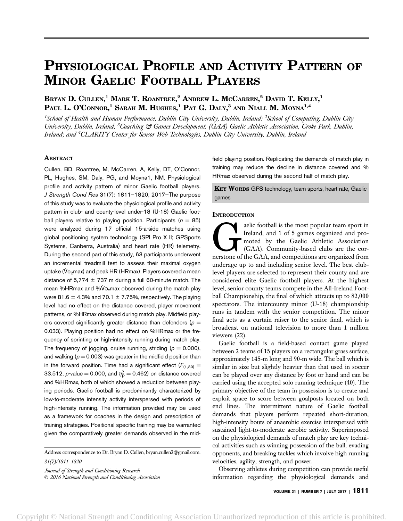# PHYSIOLOGICAL PROFILE AND ACTIVITY PATTERN OF MINOR GAELIC FOOTBALL PLAYERS

Bryan D. Cullen,<sup>1</sup> Mark T. Roantree,<sup>2</sup> Andrew L. McCarren,<sup>2</sup> David T. Kelly,<sup>1</sup> Paul L. O'Connor, $^1$  Sarah M. Hughes, $^1$  Pat G. Daly, $^3$  and Niall M. Moyna $^{1,4}$ 

 $^{\text{\tiny{1}}}$ School of Health and Human Performance, Dublin City University, Dublin, Ireland; <sup>2</sup>School of Computing, Dublin City University, Dublin, Ireland; <sup>3</sup>Coaching & Games Development, (GAA) Gaelic Athletic Association, Croke Park, Dublin, Ireland; and <sup>4</sup>CLARITY Center for Sensor Web Technologies, Dublin City University, Dublin, Ireland

# ABSTRACT

Cullen, BD, Roantree, M, McCarren, A, Kelly, DT, O'Connor, PL, Hughes, SM, Daly, PG, and Moyna1, NM. Physiological profile and activity pattern of minor Gaelic football players. J Strength Cond Res 31(7): 1811–1820, 2017—The purpose of this study was to evaluate the physiological profile and activity pattern in club- and county-level under-18 (U-18) Gaelic football players relative to playing position. Participants ( $n = 85$ ) were analyzed during 17 official 15-a-side matches using global positioning system technology (SPI Pro X II; GPSports Systems, Canberra, Australia) and heart rate (HR) telemetry. During the second part of this study, 63 participants underwent an incremental treadmill test to assess their maximal oxygen uptake (Vo<sub>2</sub>max) and peak HR (HRmax). Players covered a mean distance of 5,774  $\pm$  737 m during a full 60-minute match. The mean %HRmax and % $\dot{V}$ O<sub>2</sub>max observed during the match play were 81.6  $\pm$  4.3% and 70.1  $\pm$  7.75%, respectively. The playing level had no effect on the distance covered, player movement patterns, or %HRmax observed during match play. Midfield players covered significantly greater distance than defenders ( $p =$ 0.033). Playing position had no effect on %HRmax or the frequency of sprinting or high-intensity running during match play. The frequency of jogging, cruise running, striding ( $p = 0.000$ ), and walking ( $p = 0.003$ ) was greater in the midfield position than in the forward position. Time had a significant effect  $(F_{(1,39)} =$ 33.512, p-value = 0.000, and  $\eta_\texttt{P}^2 =$  0.462) on distance covered and %HRmax, both of which showed a reduction between playing periods. Gaelic football is predominantly characterized by low-to-moderate intensity activity interspersed with periods of high-intensity running. The information provided may be used as a framework for coaches in the design and prescription of training strategies. Positional specific training may be warranted given the comparatively greater demands observed in the mid-

Address correspondence to Dr. Bryan D. Cullen, bryan.cullen2@gmail.com. 31(7)/1811–1820

Journal of Strength and Conditioning Research 2016 National Strength and Conditioning Association field playing position. Replicating the demands of match play in training may reduce the decline in distance covered and % HRmax observed during the second half of match play.

**KEY WORDS GPS technology, team sports, heart rate, Gaelic** games

# **INTRODUCTION**

The and State is the most popular team sport in Ireland, and 1 of 5 games organized and promoted by the Gaelic Athletic Association (GAA). Community-based clubs are the cornerstone of the GAA, and competitions are organize Ireland, and 1 of 5 games organized and promoted by the Gaelic Athletic Association (GAA). Community-based clubs are the cornerstone of the GAA, and competitions are organized from underage up to and including senior level. The best clublevel players are selected to represent their county and are considered elite Gaelic football players. At the highest level, senior county teams compete in the All-Ireland Football Championship, the final of which attracts up to 82,000 spectators. The intercounty minor (U-18) championship runs in tandem with the senior competition. The minor final acts as a curtain raiser to the senior final, which is broadcast on national television to more than 1 million viewers (22).

Gaelic football is a field-based contact game played between 2 teams of 15 players on a rectangular grass surface, approximately 145-m long and 90-m wide. The ball which is similar in size but slightly heavier than that used in soccer can be played over any distance by foot or hand and can be carried using the accepted solo running technique (40). The primary objective of the team in possession is to create and exploit space to score between goalposts located on both end lines. The intermittent nature of Gaelic football demands that players perform repeated short-duration, high-intensity bouts of anaerobic exercise interspersed with sustained light-to-moderate aerobic activity. Superimposed on the physiological demands of match play are key technical activities such as winning possession of the ball, evading opponents, and breaking tackles which involve high running velocities, agility, strength, and power.

Observing athletes during competition can provide useful information regarding the physiological demands and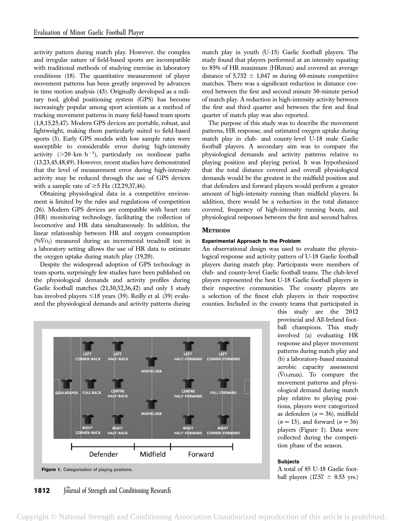activity pattern during match play. However, the complex and irregular nature of field-based sports are incompatible with traditional methods of studying exercise in laboratory conditions (18). The quantitative measurement of player movement patterns has been greatly improved by advances in time motion analysis (43). Originally developed as a military tool, global positioning system (GPS) has become increasingly popular among sport scientists as a method of tracking movement patterns in many field-based team sports (1,8,15,25,47). Modern GPS devices are portable, robust, and lightweight, making them particularly suited to field-based sports (3). Early GPS models with low sample rates were susceptible to considerable error during high-intensity activity  $(>20 \cdot km \cdot h^{-1})$ , particularly on nonlinear paths (13,23,45,48,49). However, recent studies have demonstrated that the level of measurement error during high-intensity activity may be reduced through the use of GPS devices with a sample rate of  $\geq$ 5 Hz (12,29,37,46).

Obtaining physiological data in a competitive environment is limited by the rules and regulations of competition (26). Modern GPS devices are compatible with heart rate (HR) monitoring technology, facilitating the collection of locomotive and HR data simultaneously. In addition, the linear relationship between HR and oxygen consumption  $(\%VO_2)$  measured during an incremental treadmill test in a laboratory setting allows the use of HR data to estimate the oxygen uptake during match play (19,20).

Despite the widespread adoption of GPS technology in team sports, surprisingly few studies have been published on the physiological demands and activity profiles during Gaelic football matches (21,30,32,36,42) and only 1 study has involved players  $\leq 18$  years (39). Reilly et al. (39) evaluated the physiological demands and activity patterns during match play in youth (U-15) Gaelic football players. The study found that players performed at an intensity equating to 85% of HR maximum (HRmax) and covered an average distance of  $5,732 \pm 1,047$  m during 60-minute competitive matches. There was a significant reduction in distance covered between the first and second minute 30-minute period of match play. A reduction in high-intensity activity between the first and third quarter and between the first and final quarter of match play was also reported.

The purpose of this study was to describe the movement patterns, HR response, and estimated oxygen uptake during match play in club- and county-level U-18 male Gaelic football players. A secondary aim was to compare the physiological demands and activity patterns relative to playing position and playing period. It was hypothesized that the total distance covered and overall physiological demands would be the greatest in the midfield position and that defenders and forward players would perform a greater amount of high-intensity running than midfield players. In addition, there would be a reduction in the total distance covered, frequency of high-intensity running bouts, and physiological responses between the first and second halves.

# **METHODS**

#### Experimental Approach to the Problem

An observational design was used to evaluate the physiological response and activity pattern of U-18 Gaelic football players during match play. Participants were members of club- and county-level Gaelic football teams. The club-level players represented the best U-18 Gaelic football players in their respective communities. The county players are a selection of the finest club players in their respective counties. Included in the county teams that participated in



this study are the 2012 provincial and All-Ireland football champions. This study involved (a) evaluating HR response and player movement patterns during match play and (b) a laboratory-based maximal aerobic capacity assessment ( $Vo_2$ max). To compare the movement patterns and physiological demand during match play relative to playing positions, players were categorized as defenders  $(n = 36)$ , midfield  $(n = 13)$ , and forward  $(n = 36)$ players (Figure 1). Data were collected during the competition phase of the season.

#### **Subjects**

A total of 85 U-18 Gaelic football players (17.57  $\pm$  0.53 yrs.)

**1812** Journal of Strength and Conditioning Research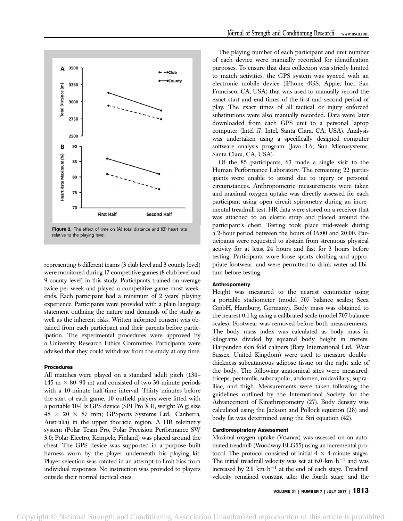

representing 6 different teams (3 club level and 3 county level) were monitored during 17 competitive games (8 club level and 9 county level) in this study. Participants trained on average twice per week and played a competitive game most weekends. Each participant had a minimum of 2 years' playing experience. Participants were provided with a plain language statement outlining the nature and demands of the study as well as the inherent risks. Written informed consent was obtained from each participant and their parents before participation. The experimental procedures were approved by a University Research Ethics Committee. Participants were advised that they could withdraw from the study at any time.

# Procedures

All matches were played on a standard adult pitch (130– 145 m  $\times$  80–90 m) and consisted of two 30-minute periods with a 10-minute half-time interval. Thirty minutes before the start of each game, 10 outfield players were fitted with a portable 10-Hz GPS device (SPI Pro X II, weight 76 g; size  $48 \times 20 \times 87$  mm; GPSports Systems Ltd., Canberra, Australia) in the upper thoracic region. A HR telemetry system (Polar Team Pro, Polar Precision Performance SW 3.0; Polar Electro, Kempele, Finland) was placed around the chest. The GPS device was supported in a purpose built harness worn by the player underneath his playing kit. Player selection was rotated in an attempt to limit bias from individual responses. No instruction was provided to players outside their normal tactical cues.

The playing number of each participant and unit number of each device were manually recorded for identification purposes. To ensure that data collection was strictly limited to match activities, the GPS system was synced with an electronic mobile device (iPhone 4GS; Apple, Inc., San Francisco, CA, USA) that was used to manually record the exact start and end times of the first and second period of play. The exact times of all tactical or injury enforced substitutions were also manually recorded. Data were later downloaded from each GPS unit to a personal laptop computer (Intel i7; Intel, Santa Clara, CA, USA). Analysis was undertaken using a specifically designed computer software analysis program (Java 1.6; Sun Microsystems, Santa Clara, CA, USA).

Of the 85 participants, 63 made a single visit to the Human Performance Laboratory. The remaining 22 participants were unable to attend due to injury or personal circumstances. Anthropometric measurements were taken and maximal oxygen uptake was directly assessed for each participant using open circuit spirometry during an incremental treadmill test. HR data were stored on a receiver that was attached to an elastic strap and placed around the participant's chest. Testing took place mid-week during a 2-hour period between the hours of 16:00 and 20:00. Participants were requested to abstain from strenuous physical activity for at least 24 hours and fast for 3 hours before testing. Participants wore loose sports clothing and appropriate footwear, and were permitted to drink water ad libitum before testing.

## Anthropometry

Height was measured to the nearest centimeter using a portable stadiometer (model 707 balance scales; Seca GmbH, Hamburg, Germany). Body mass was obtained to the nearest 0.1 kg using a calibrated scale (model 707 balance scales). Footwear was removed before both measurements. The body mass index was calculated as body mass in kilograms divided by squared body height in meters. Harpenden skin fold calipers (Baty International Ltd., West Sussex, United Kingdom) were used to measure doublethickness subcutaneous adipose tissue on the right side of the body. The following anatomical sites were measured: triceps, pectoralis, subscapular, abdomen, midaxillary, suprailiac, and thigh. Measurements were taken following the guidelines outlined by the International Society for the Advancement of Kinathropometry (27). Body density was calculated using the Jackson and Pollock equation (28) and body fat was determined using the Siri equation (42).

#### Cardiorespiratory Assessment

Maximal oxygen uptake  $(\rm\ddot{V}o_2max)$  was assessed on an automated treadmill (Woodway ELG55) using an incremental protocol. The protocol consisted of initial  $4 \times 4$ -minute stages. The initial treadmill velocity was set at  $6.0 \cdot km \cdot h^{-1}$  and was increased by  $2.0 \cdot \text{km} \cdot \text{h}^{-1}$  at the end of each stage. Treadmill velocity remained constant after the fourth stage, and the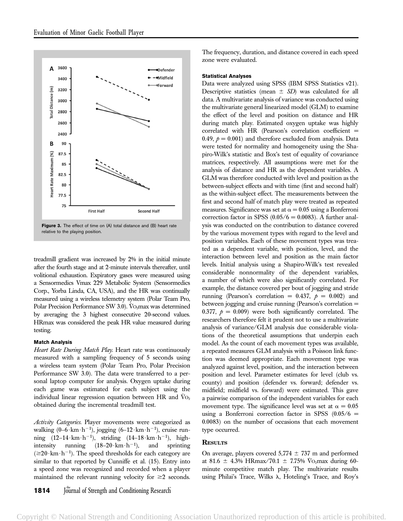

Figure 3. The effect of time on (A) total distance and (B) heart rate relative to the playing position.

treadmill gradient was increased by 2% in the initial minute after the fourth stage and at 2-minute intervals thereafter, until volitional exhaustion. Expiratory gases were measured using a Sensormedics Vmax 229 Metabolic System (Sensormedics Corp., Yorba Linda, CA, USA), and the HR was continually measured using a wireless telemetry system (Polar Team Pro, Polar Precision Performance SW 3.0). V $O_2$ max was determined by averaging the 3 highest consecutive 20-second values. HRmax was considered the peak HR value measured during testing.

## Match Analysis

Heart Rate During Match Play. Heart rate was continuously measured with a sampling frequency of 5 seconds using a wireless team system (Polar Team Pro, Polar Precision Performance SW 3.0). The data were transferred to a personal laptop computer for analysis. Oxygen uptake during each game was estimated for each subject using the individual linear regression equation between HR and  $V_{\text{O}_2}$ obtained during the incremental treadmill test.

Activity Categories. Player movements were categorized as walking  $(0-6 \cdot km \cdot h^{-1})$ , jogging  $(6-12 \cdot km \cdot h^{-1})$ , cruise running  $(12-14 \cdot km \cdot h^{-1})$ , striding  $(14-18 \cdot km \cdot h^{-1})$ , highintensity running  $(18-20 \cdot \text{km} \cdot \text{h}^{-1})$ , and sprinting  $(\geq 20 \cdot \text{km} \cdot \text{h}^{-1})$ . The speed thresholds for each category are similar to that reported by Cunniffe et al. (15). Entry into a speed zone was recognized and recorded when a player maintained the relevant running velocity for  $\geq 2$  seconds. The frequency, duration, and distance covered in each speed zone were evaluated.

## Statistical Analyses

Data were analyzed using SPSS (IBM SPSS Statistics v21). Descriptive statistics (mean  $\pm$  SD) was calculated for all data. A multivariate analysis of variance was conducted using the multivariate general linearized model (GLM) to examine the effect of the level and position on distance and HR during match play. Estimated oxygen uptake was highly correlated with HR (Pearson's correlation coefficient = 0.49,  $p = 0.001$  and therefore excluded from analysis. Data were tested for normality and homogeneity using the Shapiro-Wilk's statistic and Box's test of equality of covariance matrices, respectively. All assumptions were met for the analysis of distance and HR as the dependent variables. A GLM was therefore conducted with level and position as the between-subject effects and with time (first and second half) as the within-subject effect. The measurements between the first and second half of match play were treated as repeated measures. Significance was set at  $\alpha = 0.05$  using a Bonferroni correction factor in SPSS  $(0.05/6 = 0.0083)$ . A further analysis was conducted on the contribution to distance covered by the various movement types with regard to the level and position variables. Each of these movement types was treated as a dependent variable, with position, level, and the interaction between level and position as the main factor levels. Initial analysis using a Shapiro-Wilk's test revealed considerable nonnormality of the dependent variables, a number of which were also significantly correlated. For example, the distance covered per bout of jogging and stride running (Pearson's correlation = 0.437,  $p = 0.002$ ) and between jogging and cruise running (Pearson's correlation = 0.377,  $p = 0.009$ ) were both significantly correlated. The researchers therefore felt it prudent not to use a multivariate analysis of variance/GLM analysis due considerable violations of the theoretical assumptions that underpin each model. As the count of each movement types was available, a repeated measures GLM analysis with a Poisson link function was deemed appropriate. Each movement type was analyzed against level, position, and the interaction between position and level. Parameter estimates for level (club vs. county) and position (defender vs. forward; defender vs. midfield; midfield vs. forward) were estimated. This gave a pairwise comparison of the independent variables for each movement type. The significance level was set at  $\alpha = 0.05$ using a Bonferroni correction factor in SPSS  $(0.05/6 =$ 0.0083) on the number of occasions that each movement type occurred.

# **RESULTS**

On average, players covered  $5,774 \pm 737$  m and performed at 81.6  $\pm$  4.3% HRmax/70.1  $\pm$  7.75% V<sub>O2</sub>max during 60minute competitive match play. The multivariate results using Philai's Trace, Wilks  $\lambda$ , Hoteling's Trace, and Roy's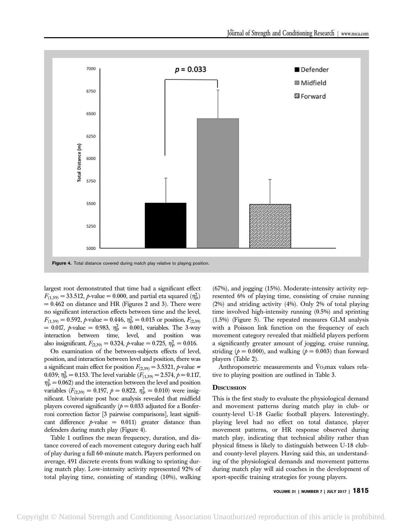

largest root demonstrated that time had a significant effect  $F_{(1,39)} = 33.512$ , p-value = 0.000, and partial eta squared  $(\eta_P^2)$  $= 0.462$  on distance and HR (Figures 2 and 3). There were no significant interaction effects between time and the level,  $F_{(1,39)} = 0.592$ , *p*-value = 0.446,  $\eta_{\rm P}^2 = 0.015$  or position,  $F_{(2,39)}$  $= 0.017$ ,  $p$ -value  $= 0.983$ ,  $\eta_{\rm P}^2 = 0.001$ , variables. The 3-way interaction between time, level, and position was also insignificant,  $F_{(2,39)} = 0.324$ ,  $p$ -value = 0.725,  $\eta_{\rm P}^2 = 0.016$ .

On examination of the between-subjects effects of level, position, and interaction between level and position, there was a significant main effect for position  $F_{(2,39)} = 3.5321$ , p-value = 0.039;  $\eta_{\rm P}^2 = 0.153$ . The level variable  $(F_{(1,39)} = 2.574, p = 0.117,$  $\eta_{\rm P}^2 = 0.062$ ) and the interaction between the level and position variables ( $F_{(2,39)} = 0.197$ ,  $p = 0.822$ ,  $\eta_{\rm P}^2 = 0.010$ ) were insignificant. Univariate post hoc analysis revealed that midfield players covered significantly  $(p = 0.033$  adjusted for a Bonferroni correction factor [3 pairwise comparisons], least significant difference  $p$ -value = 0.011) greater distance than defenders during match play (Figure 4).

Table 1 outlines the mean frequency, duration, and distance covered of each movement category during each half of play during a full 60-minute match. Players performed on average, 491 discrete events from walking to sprinting during match play. Low-intensity activity represented 92% of total playing time, consisting of standing (10%), walking (67%), and jogging (15%). Moderate-intensity activity represented 6% of playing time, consisting of cruise running (2%) and striding activity (4%). Only 2% of total playing time involved high-intensity running (0.5%) and sprinting (1.5%) (Figure 5). The repeated measures GLM analysis with a Poisson link function on the frequency of each movement category revealed that midfield players perform a significantly greater amount of jogging, cruise running, striding ( $p = 0.000$ ), and walking ( $p = 0.003$ ) than forward players (Table 2).

Anthropometric measurements and  $\dot{V}_{\text{O}_2}$  max values relative to playing position are outlined in Table 3.

# **DISCUSSION**

This is the first study to evaluate the physiological demand and movement patterns during match play in club- or county-level U-18 Gaelic football players. Interestingly, playing level had no effect on total distance, player movement patterns, or HR response observed during match play, indicating that technical ability rather than physical fitness is likely to distinguish between U-18 cluband county-level players. Having said this, an understanding of the physiological demands and movement patterns during match play will aid coaches in the development of sport-specific training strategies for young players.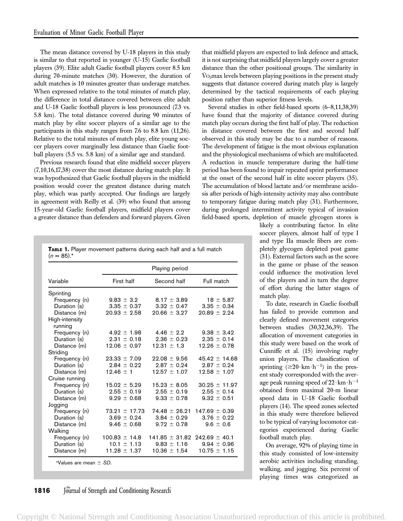The mean distance covered by U-18 players in this study is similar to that reported in younger (U-15) Gaelic football players (39). Elite adult Gaelic football players cover 8.5 km during 70-minute matches (30). However, the duration of adult matches is 10 minutes greater than underage matches. When expressed relative to the total minutes of match play, the difference in total distance covered between elite adult and U-18 Gaelic football players is less pronounced (7.3 vs. 5.8 km). The total distance covered during 90 minutes of match play by elite soccer players of a similar age to the participants in this study ranges from 7.6 to 8.8 km (11,26). Relative to the total minutes of match play, elite young soccer players cover marginally less distance than Gaelic football players (5.5 vs. 5.8 km) of a similar age and standard.

Previous research found that elite midfield soccer players (7,10,16,17,38) cover the most distance during match play. It was hypothesized that Gaelic football players in the midfield position would cover the greatest distance during match play, which was partly accepted. Our findings are largely in agreement with Reilly et al. (39) who found that among 15-year-old Gaelic football players, midfield players cover a greater distance than defenders and forward players. Given

| $(n = 85)^{*}$             |                   |                    |                   |
|----------------------------|-------------------|--------------------|-------------------|
|                            |                   | Playing period     |                   |
| Variable                   | First half        | Second half        | Full match        |
| Sprinting                  |                   |                    |                   |
| Frequency (n)              | $9.83 \pm 3.2$    | $8.17 \pm 3.89$    | $18 \pm 5.87$     |
| Duration (s)               | $3.35 \pm 0.37$   | $3.32 \pm 0.47$    | $3.35 \pm 0.34$   |
| Distance (m)               | $20.93 \pm 2.58$  | $20.66 \pm 3.27$   | $20.89 \pm 2.24$  |
| High-intensity             |                   |                    |                   |
| running                    |                   |                    |                   |
| Frequency (n)              | $4.92 \pm 1.98$   | $4.46 \pm 2.2$     | $9.38 \pm 3.42$   |
| Duration (s)               | $2.31 \pm 0.18$   | $2.36 \pm 0.23$    | $2.35 \pm 0.14$   |
| Distance (m)               | $12.06 \pm 0.97$  | $12.31 \pm 1.3$    | $12.26 \pm 0.78$  |
| Stridina                   |                   |                    |                   |
| Frequency (n)              | $23.33 \pm 7.09$  | $22.08 \pm 9.56$   | $45.42 \pm 14.68$ |
| Duration (s)               | $2.84 \pm 0.22$   | $2.87 \pm 0.24$    | $2.87 \pm 0.24$   |
| Distance (m)               | $12.46 \pm 1$     | $12.57 \pm 1.07$   | $12.58 \pm 1.07$  |
| Cruise running             |                   |                    |                   |
| Frequency (n)              | $15.02 \pm 5.29$  | $15.23 \pm 8.05$   | $30.25 \pm 11.97$ |
| Duration (s)               | $2.55 \pm 0.19$   | $2.55 \pm 0.19$    | $2.55 \pm 0.14$   |
| Distance (m)               | $9.29 \pm 0.68$   | $9.33 \pm 0.78$    | $9.32 \pm 0.51$   |
| Jogging                    |                   |                    |                   |
| Frequency (n)              | $73.21 \pm 17.73$ | $74.48 \pm 26.21$  | $147.69 \pm 0.39$ |
| Duration (s)               | $3.69 \pm 0.24$   | $3.84 \pm 0.29$    | $3.76 \pm 0.22$   |
| Distance (m)               | $9.46 \pm 0.68$   | $9.72 \pm 0.78$    | $9.6 \pm 0.6$     |
| Walking                    |                   |                    |                   |
| Frequency (n)              | $100.83 \pm 14.8$ | $141.85 \pm 31.82$ | $242.69 \pm 40.1$ |
| Duration (s)               | $10.1 \pm 1.13$   | $9.83 \pm 1.16$    | $9.94 \pm 0.96$   |
| Distance (m)               | $11.28 \pm 1.37$  | $10.36 \pm 1.54$   | $10.75 \pm 1.15$  |
| *Values are mean $\pm$ SD. |                   |                    |                   |

TABLE 1. Player movement patterns during each half and a full match

**1816** Journal of Strength and Conditioning Research

that midfield players are expected to link defence and attack, it is not surprising that midfield players largely cover a greater distance than the other positional groups. The similarity in  $\rm\dot{V}o_{2}$  max levels between playing positions in the present study suggests that distance covered during match play is largely determined by the tactical requirements of each playing position rather than superior fitness levels.

Several studies in other field-based sports (6–8,11,38,39) have found that the majority of distance covered during match play occurs during the first half of play. The reduction in distance covered between the first and second half observed in this study may be due to a number of reasons. The development of fatigue is the most obvious explanation and the physiological mechanisms of which are multifaceted. A reduction in muscle temperature during the half-time period has been found to impair repeated sprint performance at the onset of the second half in elite soccer players (35). The accumulation of blood lactate and/or membrane acidosis after periods of high-intensity activity may also contribute to temporary fatigue during match play (31). Furthermore, during prolonged intermittent activity typical of invasion field-based sports, depletion of muscle glycogen stores is

> likely a contributing factor. In elite soccer players, almost half of type I and type IIa muscle fibers are completely glycogen depleted post game (31). External factors such as the score in the game or phase of the season could influence the motivation level of the players and in turn the degree of effort during the latter stages of match play.

> To date, research in Gaelic football has failed to provide common and clearly defined movement categories between studies (30,32,36,39). The allocation of movement categories in this study were based on the work of Cunniffe et al. (15) involving rugby union players. The classification of sprinting  $(\geq 20 \cdot km \cdot h^{-1})$  in the present study corresponded with the average peak running speed of  $22 \cdot km \cdot h^{-1}$ obtained from maximal 20-m linear speed data in U-18 Gaelic football players (14). The speed zones selected in this study were therefore believed to be typical of varying locomotor categories experienced during Gaelic football match play.

> On average, 92% of playing time in this study consisted of low-intensity aerobic activities including standing, walking, and jogging. Six percent of playing times was categorized as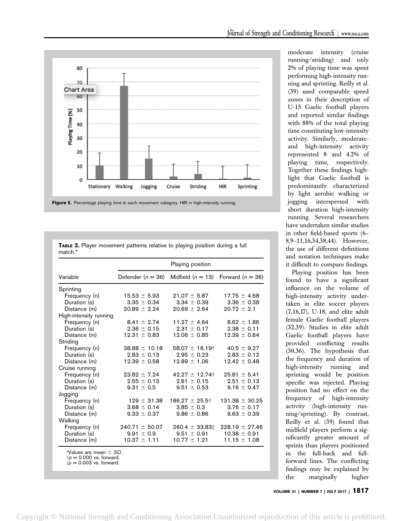



| <b>Figure 5.</b> Percentage playing time in each movement category. HIR = high-intensity running. |  |  |  |  |
|---------------------------------------------------------------------------------------------------|--|--|--|--|
|                                                                                                   |  |  |  |  |

|         | TABLE 2. Player movement patterns relative to playing position during a full |  |  |  |  |
|---------|------------------------------------------------------------------------------|--|--|--|--|
| match.* |                                                                              |  |  |  |  |

|                                                                                     | Playing position    |                     |                    |  |  |  |
|-------------------------------------------------------------------------------------|---------------------|---------------------|--------------------|--|--|--|
| Variable                                                                            | Defender $(n = 36)$ | Midfield $(n = 13)$ | Forward $(n = 36)$ |  |  |  |
| Sprinting                                                                           |                     |                     |                    |  |  |  |
| Frequency (n)                                                                       | $15.53 \pm 5.93$    | $21.07 \pm 5.87$    | $17.75 \pm 4.68$   |  |  |  |
| Duration (s)                                                                        | $3.35 \pm 0.34$     | $3.34 \pm 0.39$     | $3.36 \pm 0.38$    |  |  |  |
| Distance (m)                                                                        | $20.89 \pm 2.24$    | $20.69 \pm 2.64$    | $20.72 \pm 2.1$    |  |  |  |
| High-intensity running                                                              |                     |                     |                    |  |  |  |
| Frequency (n)                                                                       | $8.41 \pm 2.74$     | $11.27 \pm 4.64$    | $8.62 \pm 1.86$    |  |  |  |
| Duration (s)                                                                        | $2.36 \pm 0.15$     | $9.31 + 0.17$       | $2.38 \pm 0.11$    |  |  |  |
| Distance (m)                                                                        | $12.31 \pm 0.83$    | $12.06 \pm 0.85$    | $12.39 \pm 0.64$   |  |  |  |
| Striding                                                                            |                     |                     |                    |  |  |  |
| Frequency (n)                                                                       | $38.88 \pm 10.18$   | $58.07 \pm 16.19$ † | $40.5 \pm 9.27$    |  |  |  |
| Duration (s)                                                                        | $2.83 \pm 0.13$     | $2.95 \pm 0.23$     | $2.83 \pm 0.12$    |  |  |  |
| Distance (m)                                                                        | $12.39 \pm 0.58$    | $12.89 \pm 1.06$    | $12.42 \pm 0.48$   |  |  |  |
| Cruise running                                                                      |                     |                     |                    |  |  |  |
| Frequency (n)                                                                       | $23.82 \pm 7.24$    | $42.27 \pm 12.74$ † | $25.81 \pm 5.41$   |  |  |  |
| Duration (s)                                                                        | $2.55 \pm 0.13$     | $2.61 \pm 0.15$     | $2.51 \pm 0.13$    |  |  |  |
| Distance (m)                                                                        | $9.31 \pm 0.5$      | $9.51 \pm 0.53$     | $9.16 \pm 0.47$    |  |  |  |
| Jogging                                                                             |                     |                     |                    |  |  |  |
| Frequency (n)                                                                       | $129 \pm 31.38$     | $186.27 \pm 25.5$ † | $131.38 \pm 30.25$ |  |  |  |
| Duration (s)                                                                        | $3.68 \pm 0.14$     | $3.85 \pm 0.3$      | $3.76 \pm 0.17$    |  |  |  |
| Distance (m)                                                                        | $9.33 \pm 0.37$     | $9.86 \pm 0.86$     | $9.63 \pm 0.39$    |  |  |  |
| Walking                                                                             |                     |                     |                    |  |  |  |
| Frequency (n)                                                                       | $240.71 \pm 50.07$  | $260.4 \pm 33.831$  | $228.19 \pm 27.46$ |  |  |  |
| Duration (s)                                                                        | $9.91 \pm 0.9$      | $9.51 \pm 0.91$     | $10.38 \pm 0.91$   |  |  |  |
| Distance (m)                                                                        | $10.37 \pm 1.11$    | $10.77 \pm 1.21$    | $11.15 \pm 1.08$   |  |  |  |
| *Values are mean $\pm$ SD.<br>$p = 0.000$ vs. forward.<br>$tp = 0.003$ vs. forward. |                     |                     |                    |  |  |  |

moderate intensity (cruise running/striding) and only 2% of playing time was spent performing high-intensity running and sprinting. Reilly et al. (39) used comparable speed zones in their description of U-15 Gaelic football players and reported similar findings with 88% of the total playing time constituting low-intensity activity. Similarly, moderateand high-intensity activity represented 8 and 4.2% of playing time, respectively. Together these findings highlight that Gaelic football is predominantly characterized by light aerobic walking or jogging interspersed with short duration high-intensity running. Several researchers have undertaken similar studies in other field-based sports (6– 8,9–11,16,34,38,44). However, the use of different definitions and notation techniques make it difficult to compare findings.

Playing position has been found to have a significant influence on the volume of high-intensity activity undertaken in elite soccer players (7,16,17), U-18, and elite adult female Gaelic football players (32,39). Studies in elite adult Gaelic football players have provided conflicting results (30,36). The hypothesis that the frequency and duration of high-intensity running and sprinting would be position specific was rejected. Playing position had no effect on the frequency of high-intensity activity (high-intensity running/sprinting). By contrast, Reilly et al. (39) found that midfield players perform a significantly greater amount of sprints than players positioned in the full-back and fullforward lines. The conflicting findings may be explained by the marginally higher

VOLUME 31 | NUMBER 7 | JULY 2017 | 1817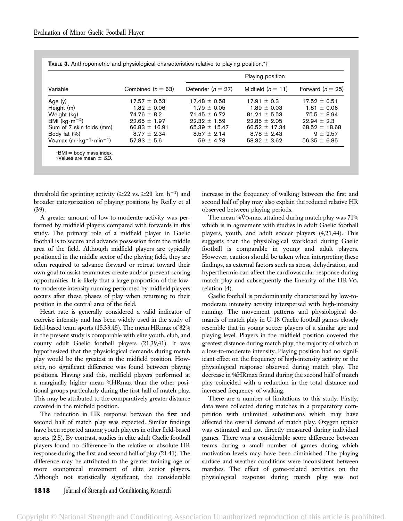|                                                             |                     | Playing position    |                     |                    |  |  |  |
|-------------------------------------------------------------|---------------------|---------------------|---------------------|--------------------|--|--|--|
| Variable                                                    | Combined $(n = 63)$ | Defender $(n = 27)$ | Midfield $(n = 11)$ | Forward $(n = 25)$ |  |  |  |
| Age $(y)$                                                   | $17.57 \pm 0.53$    | $17.48 \pm 0.58$    | $17.91 \pm 0.3$     | $17.52 \pm 0.51$   |  |  |  |
| Height (m)                                                  | $1.82 \pm 0.06$     | $1.79 \pm 0.05$     | $1.89 \pm 0.03$     | $1.81 \pm 0.06$    |  |  |  |
| Weight (kg)                                                 | $74.76 \pm 8.2$     | $71.45 \pm 6.72$    | $81.21 \pm 5.53$    | $75.5 \pm 8.94$    |  |  |  |
| BMI ( $kg \cdot m^{-2}$ )                                   | $22.65 \pm 1.97$    | $22.32 \pm 1.59$    | $22.85 \pm 2.05$    | $22.94 \pm 2.3$    |  |  |  |
| Sum of 7 skin folds (mm)                                    | $66.83 \pm 16.91$   | 65.39 $\pm$ 15.47   | $66.52 \pm 17.34$   | 68.52 $\pm$ 18.68  |  |  |  |
| Body fat (%)                                                | $8.77 \pm 2.34$     | $8.57 \pm 2.14$     | $8.78 \pm 2.43$     | $9 \pm 2.57$       |  |  |  |
| $\text{Vo}_2$ max (ml·kg <sup>-1</sup> ·min <sup>-1</sup> ) | $57.83 \pm 5.6$     | $59 \pm 4.78$       | $58.32 \pm 3.62$    | $56.35 \pm 6.85$   |  |  |  |

|  | <b>TABLE 3.</b> Anthropometric and physiological characteristics relative to playing position.*† |  |  |  |  |  |  |
|--|--------------------------------------------------------------------------------------------------|--|--|--|--|--|--|
|--|--------------------------------------------------------------------------------------------------|--|--|--|--|--|--|

threshold for sprinting activity ( $\geq 22$  vs.  $\geq 20 \cdot \text{km} \cdot \text{h}^{-1}$ ) and broader categorization of playing positions by Reilly et al (39).

A greater amount of low-to-moderate activity was performed by midfield players compared with forwards in this study. The primary role of a midfield player in Gaelic football is to secure and advance possession from the middle area of the field. Although midfield players are typically positioned in the middle sector of the playing field, they are often required to advance forward or retreat toward their own goal to assist teammates create and/or prevent scoring opportunities. It is likely that a large proportion of the lowto-moderate intensity running performed by midfield players occurs after these phases of play when returning to their position in the central area of the field.

Heart rate is generally considered a valid indicator of exercise intensity and has been widely used in the study of field-based team sports (15,33,45). The mean HRmax of 82% in the present study is comparable with elite youth, club, and county adult Gaelic football players (21,39,41). It was hypothesized that the physiological demands during match play would be the greatest in the midfield position. However, no significant difference was found between playing positions. Having said this, midfield players performed at a marginally higher mean %HRmax than the other positional groups particularly during the first half of match play. This may be attributed to the comparatively greater distance covered in the midfield position.

The reduction in HR response between the first and second half of match play was expected. Similar findings have been reported among youth players in other field-based sports (2,5). By contrast, studies in elite adult Gaelic football players found no difference in the relative or absolute HR response during the first and second half of play (21,41). The difference may be attributed to the greater training age or more economical movement of elite senior players. Although not statistically significant, the considerable increase in the frequency of walking between the first and second half of play may also explain the reduced relative HR observed between playing periods.

The mean  $\sqrt[6]{6}$  O<sub>2</sub>max attained during match play was 71% which is in agreement with studies in adult Gaelic football players, youth, and adult soccer players (4,21,44). This suggests that the physiological workload during Gaelic football is comparable in young and adult players. However, caution should be taken when interpreting these findings, as external factors such as stress, dehydration, and hyperthermia can affect the cardiovascular response during match play and subsequently the linearity of the  $HR-VO<sub>2</sub>$ relation (4).

Gaelic football is predominantly characterized by low-tomoderate intensity activity interspersed with high-intensity running. The movement patterns and physiological demands of match play in U-18 Gaelic football games closely resemble that in young soccer players of a similar age and playing level. Players in the midfield position covered the greatest distance during match play, the majority of which at a low-to-moderate intensity. Playing position had no significant effect on the frequency of high-intensity activity or the physiological response observed during match play. The decrease in %HRmax found during the second half of match play coincided with a reduction in the total distance and increased frequency of walking.

There are a number of limitations to this study. Firstly, data were collected during matches in a preparatory competition with unlimited substitutions which may have affected the overall demand of match play. Oxygen uptake was estimated and not directly measured during individual games. There was a considerable score difference between teams during a small number of games during which motivation levels may have been diminished. The playing surface and weather conditions were inconsistent between matches. The effect of game-related activities on the physiological response during match play was not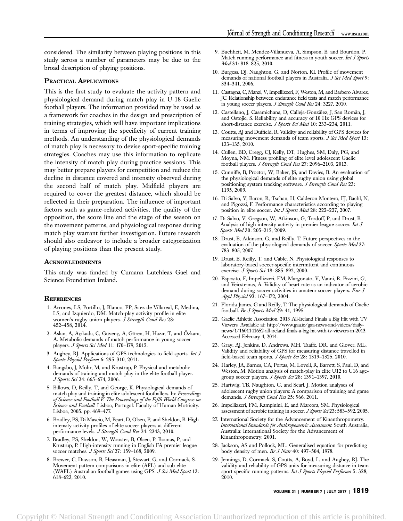considered. The similarity between playing positions in this study across a number of parameters may be due to the broad description of playing positions.

# PRACTICAL APPLICATIONS

This is the first study to evaluate the activity pattern and physiological demand during match play in U-18 Gaelic football players. The information provided may be used as a framework for coaches in the design and prescription of training strategies, which will have important implications in terms of improving the specificity of current training methods. An understanding of the physiological demands of match play is necessary to devise sport-specific training strategies. Coaches may use this information to replicate the intensity of match play during practice sessions. This may better prepare players for competition and reduce the decline in distance covered and intensity observed during the second half of match play. Midfield players are required to cover the greatest distance, which should be reflected in their preparation. The influence of important factors such as game-related activities, the quality of the opposition, the score line and the stage of the season on the movement patterns, and physiological response during match play warrant further investigation. Future research should also endeavor to include a broader categorization of playing positions than the present study.

#### **ACKNOWLEDGMENTS**

This study was funded by Cumann Lutchleas Gael and Science Foundation Ireland.

#### **REFERENCES**

- 1. Arrones, LS, Portillo, J, Blanco, FP, Saez de Villareal, E, Medina, LS, and Izquierdo, DM. Match-play activity profile in elite women's rugby union players.  $\bar{J}$  Strength Cond Res 28: 452–458, 2014.
- 2. Aslan, A, Açıkada, C, Güvenç, A, Gören, H, Hazır, T, and Özkara, A. Metabolic demands of match performance in young soccer players. J Sports Sci Med 11: 170–179, 2012.
- 3. Aughey, RJ. Applications of GPS technologies to field sports. Int J Sports Physiol Perform 6: 295–310, 2011.
- 4. Bangsbo, J, Mohr, M, and Krustrup, P. Physical and metabolic demands of training and match-play in the elite football player. J Sports Sci 24: 665–674, 2006.
- 5. Billows, D, Reilly, T, and George, K. Physiological demands of match play and training in elite adolescent footballers. In: Proceedings of Science and Football V. The Proceedings of the Fifth World Congress on Science and Football. Lisboa, Portugal: Faculty of Human Motricity. Lisboa, 2005. pp. 469–477.
- 6. Bradley, PS, Di Mascio, M, Peart, D, Olsen, P, and Sheldon, B. Highintensity activity profiles of elite soccer players at different performance levels. J Strength Cond Res 24: 2343, 2010.
- 7. Bradley, PS, Sheldon, W, Wooster, B, Olsen, P, Boanas, P, and Krustrup, P. High-intensity running in English FA premier league soccer matches. J Sports Sci 27: 159-168, 2009.
- 8. Brewer, C, Dawson, B, Heasman, J, Stewart, G, and Cormack, S. Movement pattern comparisons in elite (AFL) and sub-elite (WAFL) Australian football games using GPS. J Sci Med Sport 13: 618–623, 2010.
- 9. Buchheit, M, Mendez-Villanueva, A, Simpson, B, and Bourdon, P. Match running performance and fitness in youth soccer. Int J Sports Med 31: 818-825, 2010.
- 10. Burgess, DJ, Naughton, G, and Norton, KI. Profile of movement demands of national football players in Australia. J Sci Med Sport 9: 334–341, 2006.
- 11. Castagna, C, Manzi, V, Impellizzeri, F, Weston, M, and Barbero Alvarez, JC. Relationship between endurance field tests and match performance in young soccer players. J Strength Cond Res 24: 3227, 2010.
- 12. Castellano, J, Casamichana, D, Calleja-González, J, San Román, J, and Ostojic, S. Reliability and accuracy of 10 Hz GPS devices for short-distance exercise. J Sports Sci Med 10: 233-234, 2011.
- 13. Coutts, AJ and Duffield, R. Validity and reliability of GPS devices for measuring movement demands of team sports. J Sci Med Sport 13: 133–135, 2010.
- 14. Cullen, BD, Cregg, CJ, Kelly, DT, Hughes, SM, Daly, PG, and Moyna, NM. Fitness profiling of elite level adolescent Gaelic football players. J Strength Cond Res 27: 2096–2103, 2013.
- 15. Cunniffe, B, Proctor, W, Baker, JS, and Davies, B. An evaluation of the physiological demands of elite rugby union using global positioning system tracking software. J Strength Cond Res 23: 1195, 2009.
- 16. Di Salvo, V, Baron, R, Tschan, H, Calderon Montero, FJ, Bachl, N, and Pigozzi, F. Performance characteristics according to playing position in elite soccer. Int J Sports Med 28: 222-227, 2007.
- 17. Di Salvo, V, Gregson, W, Atkinson, G, Tordoff, P, and Drust, B. Analysis of high intensity activity in premier league soccer. Int J Sports Med 30: 205-212, 2009.
- 18. Drust, B, Atkinson, G, and Reilly, T. Future perspectives in the evaluation of the physiological demands of soccer. Sports Med 37: 783–805, 2007.
- 19. Drust, B, Reilly, T, and Cable, N. Physiological responses to laboratory-based soccer-specific intermittent and continuous exercise. J Sports Sci 18: 885-892, 2000.
- 20. Esposito, F, Impellizzeri, FM, Margonato, V, Vanni, R, Pizzini, G, and Veicsteinas, A. Validity of heart rate as an indicator of aerobic demand during soccer activities in amateur soccer players. *Eur J* Appl Physiol 93: 167–172, 2004.
- 21. Florida-James, G and Reilly, T. The physiological demands of Gaelic football. Br J Sports Med 29: 41, 1995.
- 22. Gaelic Athletic Association. 2013 All-Ireland Finals a Big Hit with TV Viewers. Available at: http://www.gaa.ie/gaa-news-and-videos/dailynews/1/1601141652-all-ireland-finals-a-big-hit-with-tv-viewers-in-2013. Accessed February 4, 2014.
- 23. Gray, AJ, Jenkins, D, Andrews, MH, Taaffe, DR, and Glover, ML. Validity and reliability of GPS for measuring distance travelled in field-based team sports. J Sports Sci 28: 1319-1325, 2010.
- 24. Harley, JA, Barnes, CA, Portas, M, Lovell, R, Barrett, S, Paul, D, and Weston, M. Motion analysis of match-play in elite U12 to U16 agegroup soccer players. J Sports Sci 28: 1391-1397, 2010.
- 25. Hartwig, TB, Naughton, G, and Searl, J. Motion analyses of adolescent rugby union players: A comparison of training and game demands. J Strength Cond Res 25: 966, 2011.
- 26. Impellizzeri, FM, Rampinini, E, and Marcora, SM. Physiological assessment of aerobic training in soccer. J Sports Sci 23: 583-592, 2005.
- 27. International Society for the Advancement of Kinanthropometry. International Standards for Anthropometric Assessment. South Australia, Australia: International Society for the Advancement of Kinanthropometry, 2001.
- 28. Jackson, AS and Pollock, ML. Generalised equation for predicting body density of men. Br J Nutr 40: 497–504, 1978.
- 29. Jennings, D, Cormack, S, Coutts, A, Boyd, L, and Aughey, RJ. The validity and reliability of GPS units for measuring distance in team sport specific running patterns. Int J Sports Physiol Performa 5: 328, 2010.